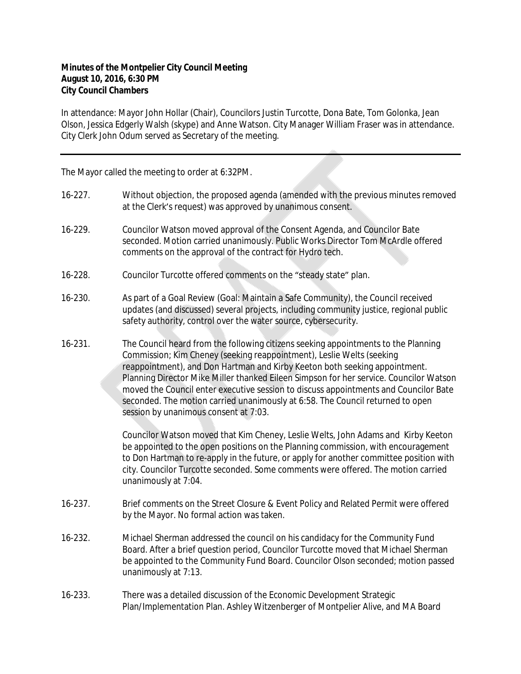## **Minutes of the Montpelier City Council Meeting August 10, 2016, 6:30 PM City Council Chambers**

In attendance: Mayor John Hollar (Chair), Councilors Justin Turcotte, Dona Bate, Tom Golonka, Jean Olson, Jessica Edgerly Walsh (skype) and Anne Watson. City Manager William Fraser was in attendance. City Clerk John Odum served as Secretary of the meeting.

The Mayor called the meeting to order at 6:32PM.

| $16 - 227$ . | Without objection, the proposed agenda (amended with the previous minutes removed<br>at the Clerk's request) was approved by unanimous consent.                                                                                                                                                                                                                                                                                                                                                                                                        |
|--------------|--------------------------------------------------------------------------------------------------------------------------------------------------------------------------------------------------------------------------------------------------------------------------------------------------------------------------------------------------------------------------------------------------------------------------------------------------------------------------------------------------------------------------------------------------------|
| 16-229.      | Councilor Watson moved approval of the Consent Agenda, and Councilor Bate<br>seconded. Motion carried unanimously. Public Works Director Tom McArdle offered<br>comments on the approval of the contract for Hydro tech.                                                                                                                                                                                                                                                                                                                               |
| 16-228.      | Councilor Turcotte offered comments on the "steady state" plan.                                                                                                                                                                                                                                                                                                                                                                                                                                                                                        |
| 16-230.      | As part of a Goal Review (Goal: Maintain a Safe Community), the Council received<br>updates (and discussed) several projects, including community justice, regional public<br>safety authority, control over the water source, cybersecurity.                                                                                                                                                                                                                                                                                                          |
| 16-231.      | The Council heard from the following citizens seeking appointments to the Planning<br>Commission; Kim Cheney (seeking reappointment), Leslie Welts (seeking<br>reappointment), and Don Hartman and Kirby Keeton both seeking appointment.<br>Planning Director Mike Miller thanked Eileen Simpson for her service. Councilor Watson<br>moved the Council enter executive session to discuss appointments and Councilor Bate<br>seconded. The motion carried unanimously at 6:58. The Council returned to open<br>session by unanimous consent at 7:03. |
|              | Councilor Watson moved that Kim Cheney, Leslie Welts, John Adams and Kirby Keeton<br>be appointed to the open positions on the Planning commission, with encouragement<br>to Don Hartman to re-apply in the future, or apply for another committee position with<br>city. Councilor Turcotte seconded. Some comments were offered. The motion carried<br>unanimously at 7:04.                                                                                                                                                                          |
| 16-237.      | Brief comments on the Street Closure & Event Policy and Related Permit were offered<br>by the Mayor. No formal action was taken.                                                                                                                                                                                                                                                                                                                                                                                                                       |
| 16-232.      | Michael Sherman addressed the council on his candidacy for the Community Fund<br>Board. After a brief question period, Councilor Turcotte moved that Michael Sherman<br>be appointed to the Community Fund Board. Councilor Olson seconded; motion passed<br>unanimously at 7:13.                                                                                                                                                                                                                                                                      |
| 16-233.      | There was a detailed discussion of the Economic Development Strategic<br>Plan/Implementation Plan. Ashley Witzenberger of Montpelier Alive, and MA Board                                                                                                                                                                                                                                                                                                                                                                                               |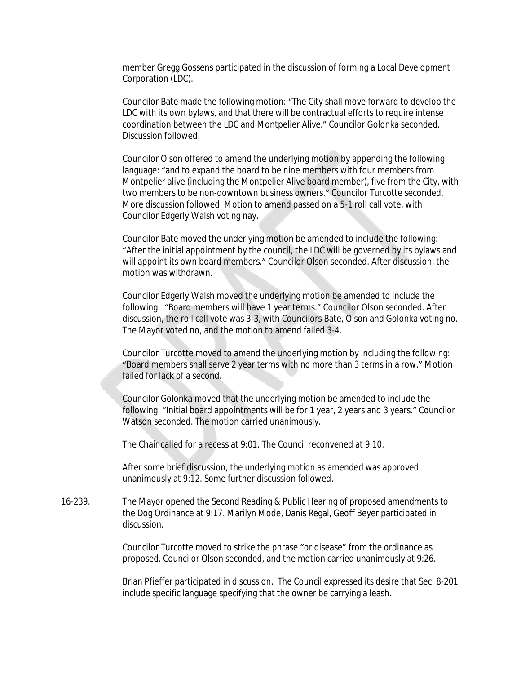member Gregg Gossens participated in the discussion of forming a Local Development Corporation (LDC).

Councilor Bate made the following motion: "The City shall move forward to develop the LDC with its own bylaws, and that there will be contractual efforts to require intense coordination between the LDC and Montpelier Alive." Councilor Golonka seconded. Discussion followed.

Councilor Olson offered to amend the underlying motion by appending the following language: "and to expand the board to be nine members with four members from Montpelier alive (including the Montpelier Alive board member), five from the City, with two members to be non-downtown business owners." Councilor Turcotte seconded. More discussion followed. Motion to amend passed on a 5-1 roll call vote, with Councilor Edgerly Walsh voting nay.

Councilor Bate moved the underlying motion be amended to include the following: "After the initial appointment by the council, the LDC will be governed by its bylaws and will appoint its own board members." Councilor Olson seconded. After discussion, the motion was withdrawn.

Councilor Edgerly Walsh moved the underlying motion be amended to include the following: "Board members will have 1 year terms." Councilor Olson seconded. After discussion, the roll call vote was 3-3, with Councilors Bate, Olson and Golonka voting no. The Mayor voted no, and the motion to amend failed 3-4.

Councilor Turcotte moved to amend the underlying motion by including the following: "Board members shall serve 2 year terms with no more than 3 terms in a row." Motion failed for lack of a second.

Councilor Golonka moved that the underlying motion be amended to include the following: "Initial board appointments will be for 1 year, 2 years and 3 years." Councilor Watson seconded. The motion carried unanimously.

The Chair called for a recess at 9:01. The Council reconvened at 9:10.

After some brief discussion, the underlying motion as amended was approved unanimously at 9:12. Some further discussion followed.

16-239. The Mayor opened the Second Reading & Public Hearing of proposed amendments to the Dog Ordinance at 9:17. Marilyn Mode, Danis Regal, Geoff Beyer participated in discussion.

> Councilor Turcotte moved to strike the phrase "or disease" from the ordinance as proposed. Councilor Olson seconded, and the motion carried unanimously at 9:26.

Brian Pfieffer participated in discussion. The Council expressed its desire that Sec. 8-201 include specific language specifying that the owner be carrying a leash.